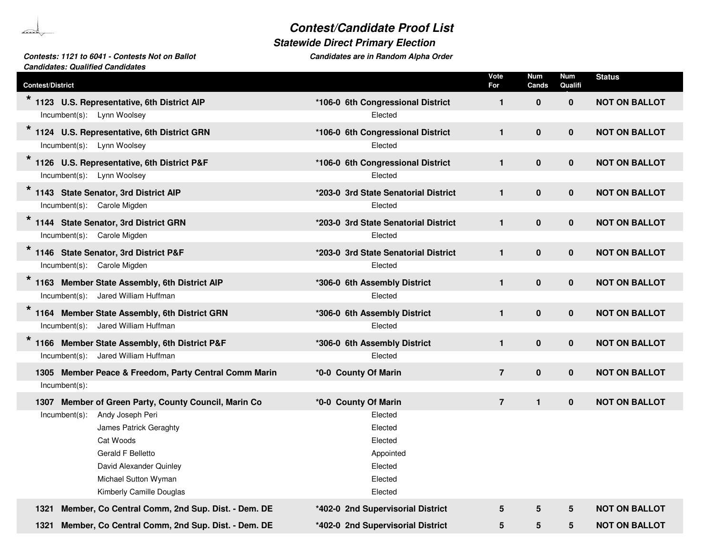## *Contest/Candidate Proof List*

## *Statewide Direct Primary Election*

## *Contests: 1121 to 6041 - Contests Not on Ballot Candidates are in RandomCandidates: Qualified Candidates*

| <b>Contest/District</b>                                                                                                                                                             |                                                                             | Vote<br>For    | <b>Num</b><br>Cands | <b>Num</b><br>Qualifi | <b>Status</b>        |
|-------------------------------------------------------------------------------------------------------------------------------------------------------------------------------------|-----------------------------------------------------------------------------|----------------|---------------------|-----------------------|----------------------|
| 1123 U.S. Representative, 6th District AIP<br>Incumbent(s): Lynn Woolsey                                                                                                            | *106-0 6th Congressional District<br>Elected                                | $\mathbf{1}$   | $\mathbf{0}$        | $\mathbf 0$           | <b>NOT ON BALLOT</b> |
| 1124 U.S. Representative, 6th District GRN<br>Incumbent(s): Lynn Woolsey                                                                                                            | *106-0 6th Congressional District<br>Elected                                | $\mathbf{1}$   | $\mathbf 0$         | $\mathbf 0$           | <b>NOT ON BALLOT</b> |
| 1126 U.S. Representative, 6th District P&F<br>Incumbent(s): Lynn Woolsey                                                                                                            | *106-0 6th Congressional District<br>Elected                                | $\mathbf{1}$   | $\pmb{0}$           | $\mathbf 0$           | <b>NOT ON BALLOT</b> |
| 1143 State Senator, 3rd District AIP<br>Incumbent(s): Carole Migden                                                                                                                 | *203-0 3rd State Senatorial District<br>Elected                             | $\mathbf{1}$   | $\pmb{0}$           | $\mathbf 0$           | <b>NOT ON BALLOT</b> |
| 1144 State Senator, 3rd District GRN<br>Incumbent(s): Carole Migden                                                                                                                 | *203-0 3rd State Senatorial District<br>Elected                             | $\mathbf{1}$   | $\pmb{0}$           | $\bf{0}$              | <b>NOT ON BALLOT</b> |
| $\star$<br>1146 State Senator, 3rd District P&F<br>Incumbent(s): Carole Migden                                                                                                      | *203-0 3rd State Senatorial District<br>Elected                             | $\mathbf{1}$   | $\pmb{0}$           | $\mathbf 0$           | <b>NOT ON BALLOT</b> |
| 1163 Member State Assembly, 6th District AIP<br>Incumbent(s): Jared William Huffman                                                                                                 | *306-0 6th Assembly District<br>Elected                                     | $\mathbf{1}$   | $\pmb{0}$           | $\mathbf 0$           | <b>NOT ON BALLOT</b> |
| $\star$<br>1164 Member State Assembly, 6th District GRN<br>Incumbent(s): Jared William Huffman                                                                                      | *306-0 6th Assembly District<br>Elected                                     | $\mathbf{1}$   | $\mathbf 0$         | $\mathbf 0$           | <b>NOT ON BALLOT</b> |
| 1166 Member State Assembly, 6th District P&F<br>Incumbent(s): Jared William Huffman                                                                                                 | *306-0 6th Assembly District<br>Elected                                     | $\mathbf{1}$   | $\pmb{0}$           | $\mathbf 0$           | <b>NOT ON BALLOT</b> |
| 1305 Member Peace & Freedom, Party Central Comm Marin<br>Incumbent(s):                                                                                                              | *0-0 County Of Marin                                                        | $\overline{7}$ | $\mathbf 0$         | $\mathbf 0$           | <b>NOT ON BALLOT</b> |
| 1307 Member of Green Party, County Council, Marin Co                                                                                                                                | *0-0 County Of Marin                                                        | $\overline{7}$ | $\mathbf{1}$        | $\mathbf 0$           | <b>NOT ON BALLOT</b> |
| Andy Joseph Peri<br>Incumbent(s):<br>James Patrick Geraghty<br>Cat Woods<br><b>Gerald F Belletto</b><br>David Alexander Quinley<br>Michael Sutton Wyman<br>Kimberly Camille Douglas | Elected<br>Elected<br>Elected<br>Appointed<br>Elected<br>Elected<br>Elected |                |                     |                       |                      |
| Member, Co Central Comm, 2nd Sup. Dist. - Dem. DE<br>1321                                                                                                                           | *402-0 2nd Supervisorial District                                           | $5\phantom{1}$ | $5\phantom{.0}$     | 5                     | <b>NOT ON BALLOT</b> |
| Member, Co Central Comm, 2nd Sup. Dist. - Dem. DE<br>1321                                                                                                                           | *402-0 2nd Supervisorial District                                           | 5              | 5                   | 5                     | <b>NOT ON BALLOT</b> |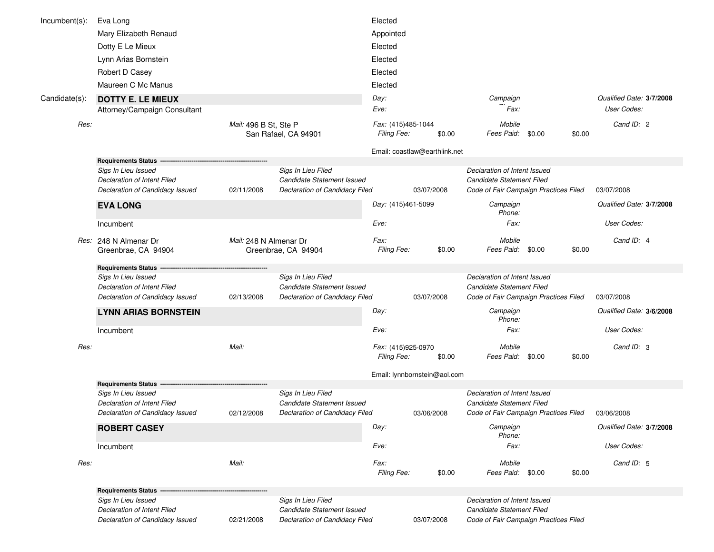| $Incumbent(s)$ : | Eva Long                                                                              |                        |                                                                                    | Elected                           |                               |                                                                                                           |        |                          |
|------------------|---------------------------------------------------------------------------------------|------------------------|------------------------------------------------------------------------------------|-----------------------------------|-------------------------------|-----------------------------------------------------------------------------------------------------------|--------|--------------------------|
|                  | Mary Elizabeth Renaud                                                                 |                        |                                                                                    | Appointed                         |                               |                                                                                                           |        |                          |
|                  | Dotty E Le Mieux                                                                      |                        |                                                                                    | Elected                           |                               |                                                                                                           |        |                          |
|                  | Lynn Arias Bornstein                                                                  |                        |                                                                                    | Elected                           |                               |                                                                                                           |        |                          |
|                  | Robert D Casey                                                                        |                        |                                                                                    | Elected                           |                               |                                                                                                           |        |                          |
|                  | Maureen C Mc Manus                                                                    |                        |                                                                                    | Elected                           |                               |                                                                                                           |        |                          |
| Candidate(s):    | <b>DOTTY E. LE MIEUX</b>                                                              |                        |                                                                                    | Day:                              |                               | Campaign                                                                                                  |        | Qualified Date: 3/7/2008 |
|                  | Attorney/Campaign Consultant                                                          |                        |                                                                                    | Eve:                              |                               | Fax:                                                                                                      |        | User Codes:              |
| Res:             |                                                                                       | Mail: 496 B St, Ste P  | San Rafael, CA 94901                                                               | Fax: (415)485-1044<br>Filing Fee: | \$0.00                        | Mobile<br>Fees Paid: \$0.00                                                                               | \$0.00 | Cand ID: 2               |
|                  |                                                                                       |                        |                                                                                    |                                   | Email: coastlaw@earthlink.net |                                                                                                           |        |                          |
|                  | <b>Requirements Status</b>                                                            |                        |                                                                                    |                                   |                               |                                                                                                           |        |                          |
|                  | Sigs In Lieu Issued<br>Declaration of Intent Filed                                    |                        | Sigs In Lieu Filed<br>Candidate Statement Issued                                   |                                   |                               | Declaration of Intent Issued<br>Candidate Statement Filed                                                 |        |                          |
|                  | Declaration of Candidacy Issued                                                       | 02/11/2008             | Declaration of Candidacy Filed                                                     |                                   | 03/07/2008                    | Code of Fair Campaign Practices Filed                                                                     |        | 03/07/2008               |
|                  | <b>EVA LONG</b>                                                                       |                        |                                                                                    | Day: (415)461-5099                |                               | Campaign<br>Phone:                                                                                        |        | Qualified Date: 3/7/2008 |
|                  | Incumbent                                                                             |                        |                                                                                    | Eve:                              |                               | Fax:                                                                                                      |        | User Codes:              |
|                  | Res: 248 N Almenar Dr<br>Greenbrae, CA 94904                                          | Mail: 248 N Almenar Dr | Greenbrae, CA 94904                                                                | Fax:<br>Filing Fee:               | \$0.00                        | Mobile<br>Fees Paid: \$0.00                                                                               | \$0.00 | Cand ID: 4               |
|                  | <b>Requirements Status</b>                                                            |                        |                                                                                    |                                   |                               |                                                                                                           |        |                          |
|                  | Sigs In Lieu Issued                                                                   |                        | Sigs In Lieu Filed                                                                 |                                   |                               | Declaration of Intent Issued                                                                              |        |                          |
|                  | Declaration of Intent Filed<br>Declaration of Candidacy Issued                        | 02/13/2008             | Candidate Statement Issued<br>Declaration of Candidacy Filed                       |                                   | 03/07/2008                    | Candidate Statement Filed<br>Code of Fair Campaign Practices Filed                                        |        | 03/07/2008               |
|                  |                                                                                       |                        |                                                                                    |                                   |                               |                                                                                                           |        | Qualified Date: 3/6/2008 |
|                  | <b>LYNN ARIAS BORNSTEIN</b>                                                           |                        |                                                                                    | Day:                              |                               | Campaign<br>Phone:                                                                                        |        |                          |
|                  | Incumbent                                                                             |                        |                                                                                    | Eve:                              |                               | Fax:                                                                                                      |        | User Codes:              |
| Res:             |                                                                                       | Mail:                  |                                                                                    | Fax: (415)925-0970<br>Filing Fee: | \$0.00                        | Mobile<br>Fees Paid:<br>\$0.00                                                                            | \$0.00 | Cand ID: 3               |
|                  |                                                                                       |                        |                                                                                    |                                   | Email: lynnbornstein@aol.com  |                                                                                                           |        |                          |
|                  | <b>Requirements Status</b>                                                            |                        |                                                                                    |                                   |                               |                                                                                                           |        |                          |
|                  | Sigs In Lieu Issued<br>Declaration of Intent Filed<br>Declaration of Candidacy Issued | 02/12/2008             | Sigs In Lieu Filed<br>Candidate Statement Issued<br>Declaration of Candidacy Filed |                                   | 03/06/2008                    | Declaration of Intent Issued<br><b>Candidate Statement Filed</b><br>Code of Fair Campaign Practices Filed |        | 03/06/2008               |
|                  | <b>ROBERT CASEY</b>                                                                   |                        |                                                                                    | Day:                              |                               | Campaign<br>Phone:                                                                                        |        | Qualified Date: 3/7/2008 |
|                  | Incumbent                                                                             |                        |                                                                                    | Eve:                              |                               | Fax:                                                                                                      |        | User Codes:              |
| Res:             |                                                                                       | Mail:                  |                                                                                    | Fax:<br>Filing Fee:               | \$0.00                        | Mobile<br>Fees Paid: \$0.00                                                                               | \$0.00 | Cand ID: 5               |
|                  | <b>Requirements Status -</b>                                                          |                        |                                                                                    |                                   |                               |                                                                                                           |        |                          |
|                  | Sigs In Lieu Issued<br>Declaration of Intent Filed<br>Declaration of Candidacy Issued |                        | Sigs In Lieu Filed<br>Candidate Statement Issued<br>Declaration of Candidacy Filed |                                   |                               | Declaration of Intent Issued<br>Candidate Statement Filed<br>Code of Fair Campaign Practices Filed        |        |                          |
|                  |                                                                                       | 02/21/2008             |                                                                                    |                                   | 03/07/2008                    |                                                                                                           |        |                          |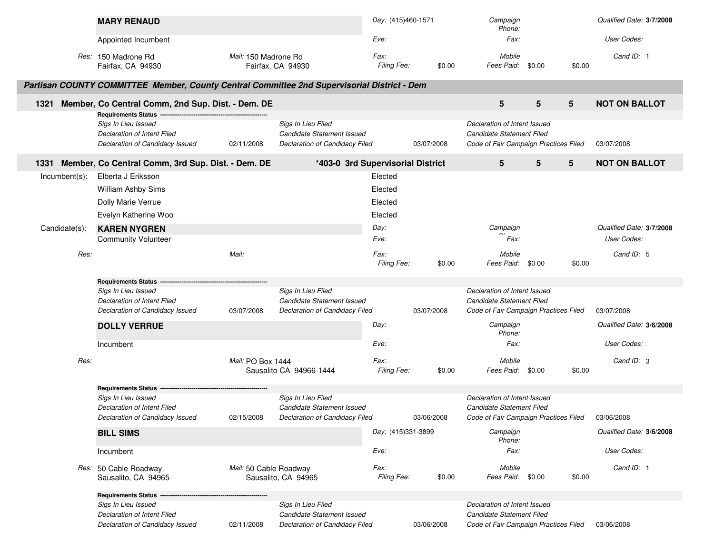|               | <b>MARY RENAUD</b>                                                                          |                        |                                                                                    | Day: (415)460-1571                |            | Campaign<br>Phone:                                                                                 |   |                 | Qualified Date: 3/7/2008 |
|---------------|---------------------------------------------------------------------------------------------|------------------------|------------------------------------------------------------------------------------|-----------------------------------|------------|----------------------------------------------------------------------------------------------------|---|-----------------|--------------------------|
|               | Appointed Incumbent                                                                         |                        |                                                                                    | Eve:                              |            | Fax:                                                                                               |   |                 | User Codes:              |
|               | Res: 150 Madrone Rd<br>Fairfax, CA 94930                                                    | Mail: 150 Madrone Rd   | Fairfax, CA 94930                                                                  | Fax:<br>Filing Fee:               | \$0.00     | Mobile<br>Fees Paid: \$0.00                                                                        |   | \$0.00          | Cand ID: 1               |
|               | Partisan COUNTY COMMITTEE Member, County Central Committee 2nd Supervisorial District - Dem |                        |                                                                                    |                                   |            |                                                                                                    |   |                 |                          |
| 1321          | Member, Co Central Comm, 2nd Sup. Dist. - Dem. DE<br>Requirements Status --                 |                        |                                                                                    |                                   |            | $5\phantom{.0}$                                                                                    | 5 | $5\overline{)}$ | <b>NOT ON BALLOT</b>     |
|               | Sigs In Lieu Issued<br>Declaration of Intent Filed<br>Declaration of Candidacy Issued       | 02/11/2008             | Sigs In Lieu Filed<br>Candidate Statement Issued<br>Declaration of Candidacy Filed |                                   | 03/07/2008 | Declaration of Intent Issued<br>Candidate Statement Filed<br>Code of Fair Campaign Practices Filed |   |                 | 03/07/2008               |
|               | 1331 Member, Co Central Comm, 3rd Sup. Dist. - Dem. DE                                      |                        |                                                                                    | *403-0 3rd Supervisorial District |            | 5                                                                                                  | 5 | $5\phantom{.0}$ | <b>NOT ON BALLOT</b>     |
| Incumbent(s): | Elberta J Eriksson                                                                          |                        |                                                                                    | Elected                           |            |                                                                                                    |   |                 |                          |
|               | William Ashby Sims                                                                          |                        |                                                                                    | Elected                           |            |                                                                                                    |   |                 |                          |
|               | Dolly Marie Verrue                                                                          |                        |                                                                                    | Elected                           |            |                                                                                                    |   |                 |                          |
|               | Evelyn Katherine Woo                                                                        |                        |                                                                                    | Elected                           |            |                                                                                                    |   |                 |                          |
| Candidate(s): | <b>KAREN NYGREN</b>                                                                         |                        |                                                                                    | Day:                              |            | Campaign                                                                                           |   |                 | Qualified Date: 3/7/2008 |
|               | <b>Community Volunteer</b>                                                                  |                        |                                                                                    | Eve:                              |            | Fax:                                                                                               |   |                 | User Codes:              |
| Res:          |                                                                                             | Mail:                  |                                                                                    | Fax:                              |            | Mobile                                                                                             |   |                 | Cand ID: 5               |
|               |                                                                                             |                        |                                                                                    | Filing Fee:                       | \$0.00     | Fees Paid: \$0.00                                                                                  |   | \$0.00          |                          |
|               | <b>Requirements Status -</b>                                                                |                        |                                                                                    |                                   |            |                                                                                                    |   |                 |                          |
|               | Sigs In Lieu Issued                                                                         |                        | Sigs In Lieu Filed                                                                 |                                   |            | Declaration of Intent Issued                                                                       |   |                 |                          |
|               | Declaration of Intent Filed                                                                 |                        | Candidate Statement Issued                                                         |                                   |            | Candidate Statement Filed                                                                          |   |                 |                          |
|               | Declaration of Candidacy Issued                                                             | 03/07/2008             | Declaration of Candidacy Filed                                                     |                                   | 03/07/2008 | Code of Fair Campaign Practices Filed                                                              |   |                 | 03/07/2008               |
|               | <b>DOLLY VERRUE</b>                                                                         |                        |                                                                                    | Day:                              |            | Campaign<br>Phone:                                                                                 |   |                 | Qualified Date: 3/6/2008 |
|               | Incumbent                                                                                   |                        |                                                                                    | Eve:                              |            | Fax:                                                                                               |   |                 | User Codes:              |
| Res:          |                                                                                             | Mail: PO Box 1444      | Sausalito CA 94966-1444                                                            | Fax:<br>Filing Fee:               | \$0.00     | Mobile<br>Fees Paid: \$0.00                                                                        |   | \$0.00          | Cand ID: 3               |
|               | <b>Requirements Status</b>                                                                  |                        |                                                                                    |                                   |            |                                                                                                    |   |                 |                          |
|               | Sigs In Lieu Issued                                                                         |                        | Sigs In Lieu Filed                                                                 |                                   |            | Declaration of Intent Issued                                                                       |   |                 |                          |
|               | Declaration of Intent Filed<br>Declaration of Candidacy Issued                              | 02/15/2008             | Candidate Statement Issued<br>Declaration of Candidacy Filed                       |                                   | 03/06/2008 | Candidate Statement Filed<br>Code of Fair Campaign Practices Filed                                 |   |                 | 03/06/2008               |
|               | <b>BILL SIMS</b>                                                                            |                        |                                                                                    | Day: (415)331-3899                |            | Campaign<br>Phone:                                                                                 |   |                 | Qualified Date: 3/6/2008 |
|               | Incumbent                                                                                   |                        |                                                                                    | Eve:                              |            | Fax:                                                                                               |   |                 | User Codes:              |
|               | Res: 50 Cable Roadway<br>Sausalito, CA 94965                                                | Mail: 50 Cable Roadway | Sausalito, CA 94965                                                                | Fax:<br>Filing Fee:               | \$0.00     | Mobile<br>Fees Paid: \$0.00                                                                        |   | \$0.00          | Cand ID: 1               |
|               | <b>Requirements Status</b>                                                                  |                        |                                                                                    |                                   |            |                                                                                                    |   |                 |                          |
|               | Sigs In Lieu Issued                                                                         |                        | Sigs In Lieu Filed                                                                 |                                   |            | Declaration of Intent Issued                                                                       |   |                 |                          |
|               | Declaration of Intent Filed                                                                 |                        | Candidate Statement Issued                                                         |                                   |            | Candidate Statement Filed                                                                          |   |                 |                          |
|               | Declaration of Candidacy Issued                                                             | 02/11/2008             | Declaration of Candidacy Filed                                                     |                                   | 03/06/2008 | Code of Fair Campaign Practices Filed                                                              |   |                 | 03/06/2008               |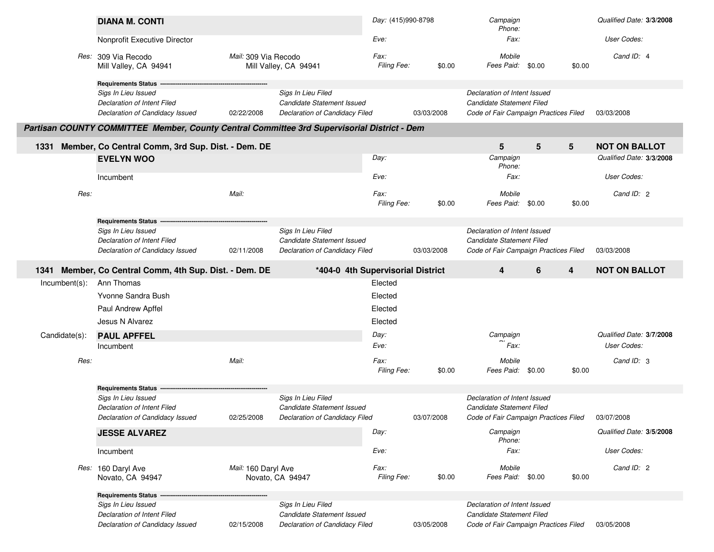|                  | <b>DIANA M. CONTI</b>                                                                                               |                      |                                                                                    | Day: (415)990-8798  |            | Campaign<br>Phone:                                                                                 |        |        | Qualified Date: 3/3/2008                |
|------------------|---------------------------------------------------------------------------------------------------------------------|----------------------|------------------------------------------------------------------------------------|---------------------|------------|----------------------------------------------------------------------------------------------------|--------|--------|-----------------------------------------|
|                  | Nonprofit Executive Director                                                                                        |                      |                                                                                    | Eve:                |            | Fax:                                                                                               |        |        | User Codes:                             |
|                  | Res: 309 Via Recodo<br>Mill Valley, CA 94941                                                                        | Mail: 309 Via Recodo | Mill Valley, CA 94941                                                              | Fax:<br>Filing Fee: | \$0.00     | Mobile<br>Fees Paid: \$0.00                                                                        |        | \$0.00 | Cand ID: 4                              |
|                  | <b>Requirements Status</b><br>Sigs In Lieu Issued<br>Declaration of Intent Filed<br>Declaration of Candidacy Issued | 02/22/2008           | Sigs In Lieu Filed<br>Candidate Statement Issued<br>Declaration of Candidacy Filed |                     | 03/03/2008 | Declaration of Intent Issued<br>Candidate Statement Filed<br>Code of Fair Campaign Practices Filed |        |        | 03/03/2008                              |
|                  | Partisan COUNTY COMMITTEE Member, County Central Committee 3rd Supervisorial District - Dem                         |                      |                                                                                    |                     |            |                                                                                                    |        |        |                                         |
| 1331             | Member, Co Central Comm, 3rd Sup. Dist. - Dem. DE                                                                   |                      |                                                                                    |                     |            | 5                                                                                                  | 5<br>5 |        | <b>NOT ON BALLOT</b>                    |
|                  | <b>EVELYN WOO</b>                                                                                                   |                      |                                                                                    | Day:                |            | Campaign<br>Phone:                                                                                 |        |        | Qualified Date: 3/3/2008                |
|                  | Incumbent                                                                                                           |                      |                                                                                    | Eve:                |            | Fax:                                                                                               |        |        | User Codes:                             |
| Res:             |                                                                                                                     | Mail:                |                                                                                    | Fax:<br>Filing Fee: | \$0.00     | Mobile<br>Fees Paid:                                                                               | \$0.00 | \$0.00 | Cand ID: 2                              |
|                  | <b>Requirements Status</b>                                                                                          |                      |                                                                                    |                     |            |                                                                                                    |        |        |                                         |
|                  | Sigs In Lieu Issued<br><b>Declaration of Intent Filed</b><br>Declaration of Candidacy Issued                        | 02/11/2008           | Sigs In Lieu Filed<br>Candidate Statement Issued<br>Declaration of Candidacy Filed |                     | 03/03/2008 | Declaration of Intent Issued<br>Candidate Statement Filed<br>Code of Fair Campaign Practices Filed |        |        | 03/03/2008                              |
| 1341             | Member, Co Central Comm, 4th Sup. Dist. - Dem. DE                                                                   |                      | *404-0 4th Supervisorial District                                                  |                     |            | 4                                                                                                  | 6<br>4 |        | <b>NOT ON BALLOT</b>                    |
| $Incumbent(s)$ : | Ann Thomas                                                                                                          |                      |                                                                                    | Elected             |            |                                                                                                    |        |        |                                         |
|                  | Yvonne Sandra Bush                                                                                                  |                      |                                                                                    | Elected             |            |                                                                                                    |        |        |                                         |
|                  | Paul Andrew Apffel                                                                                                  |                      |                                                                                    | Elected             |            |                                                                                                    |        |        |                                         |
|                  | Jesus N Alvarez                                                                                                     |                      |                                                                                    | Elected             |            |                                                                                                    |        |        |                                         |
| Candidate(s):    | <b>PAUL APFFEL</b>                                                                                                  |                      |                                                                                    | Day:<br>Eve:        |            | Campaign<br>Fax:                                                                                   |        |        | Qualified Date: 3/7/2008<br>User Codes: |
|                  | Incumbent                                                                                                           |                      |                                                                                    |                     |            |                                                                                                    |        |        |                                         |
| Res:             |                                                                                                                     | Mail:                |                                                                                    | Fax:<br>Filing Fee: | \$0.00     | Mobile<br>Fees Paid:                                                                               | \$0.00 | \$0.00 | Cand ID: 3                              |
|                  | <b>Requirements Status</b>                                                                                          |                      |                                                                                    |                     |            |                                                                                                    |        |        |                                         |
|                  | Sigs In Lieu Issued<br>Declaration of Intent Filed                                                                  |                      | Sigs In Lieu Filed<br>Candidate Statement Issued                                   |                     |            | Declaration of Intent Issued<br>Candidate Statement Filed                                          |        |        |                                         |
|                  | Declaration of Candidacy Issued                                                                                     | 02/25/2008           | Declaration of Candidacy Filed                                                     |                     | 03/07/2008 | Code of Fair Campaign Practices Filed                                                              |        |        | 03/07/2008                              |
|                  | <b>JESSE ALVAREZ</b>                                                                                                |                      |                                                                                    | Day:                |            | Campaign<br>Phone:                                                                                 |        |        | Qualified Date: 3/5/2008                |
|                  | Incumbent                                                                                                           |                      |                                                                                    | Eve:                |            | Fax:                                                                                               |        |        | User Codes:                             |
|                  | Res: 160 Daryl Ave<br>Novato, CA 94947                                                                              | Mail: 160 Daryl Ave  | Novato, CA 94947                                                                   | Fax:<br>Filing Fee: | \$0.00     | Mobile<br>Fees Paid:                                                                               | \$0.00 | \$0.00 | Cand ID: 2                              |
|                  | <b>Requirements Status</b>                                                                                          |                      |                                                                                    |                     |            |                                                                                                    |        |        |                                         |
|                  | Sigs In Lieu Issued<br>Declaration of Intent Filed                                                                  |                      | Sigs In Lieu Filed<br>Candidate Statement Issued                                   |                     |            | Declaration of Intent Issued<br>Candidate Statement Filed                                          |        |        |                                         |
|                  | Declaration of Candidacy Issued                                                                                     | 02/15/2008           | <b>Declaration of Candidacy Filed</b>                                              |                     | 03/05/2008 | Code of Fair Campaign Practices Filed                                                              |        |        | 03/05/2008                              |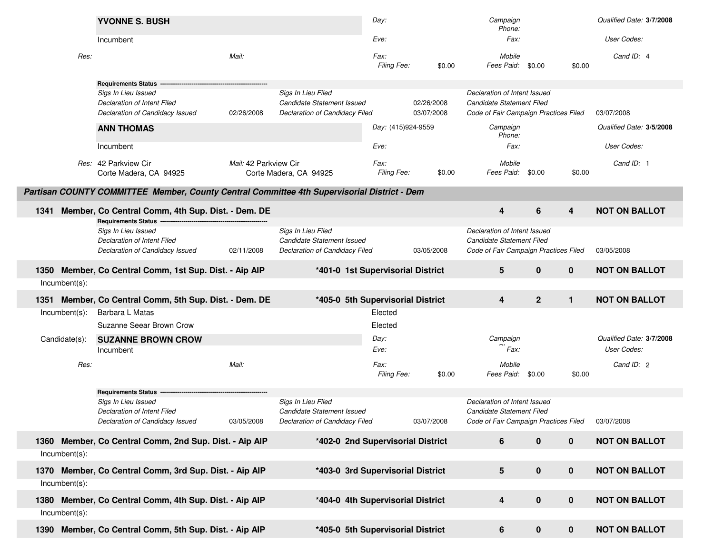| Phone:<br>User Codes:<br>Eve:<br>Fax:<br>Incumbent<br>Res:<br>Mail:<br>Fax:<br>Cand ID: 4<br>Mobile<br>Filing Fee:<br>Fees Paid:<br>\$0.00<br>\$0.00<br>\$0.00<br><b>Requirements Status</b><br>Sigs In Lieu Issued<br>Sigs In Lieu Filed<br>Declaration of Intent Issued<br>Candidate Statement Issued<br>02/26/2008<br>Candidate Statement Filed<br>Declaration of Intent Filed<br><b>Declaration of Candidacy Filed</b><br>03/07/2008<br>Code of Fair Campaign Practices Filed<br>03/07/2008<br>Declaration of Candidacy Issued<br>02/26/2008<br>Day: (415)924-9559<br>Campaign<br>Qualified Date: 3/5/2008<br><b>ANN THOMAS</b><br>Phone:<br>Eve:<br>Fax:<br>User Codes:<br>Incumbent<br>Cand ID: 1<br>Res: 42 Parkview Cir<br>Fax:<br>Mobile<br>Mail: 42 Parkview Cir<br>Filing Fee:<br>Fees Paid: \$0.00<br>Corte Madera, CA 94925<br>Corte Madera, CA 94925<br>\$0.00<br>\$0.00<br>Partisan COUNTY COMMITTEE Member, County Central Committee 4th Supervisorial District - Dem<br><b>NOT ON BALLOT</b><br>6<br>Member, Co Central Comm, 4th Sup. Dist. - Dem. DE<br>4<br>4<br>1341<br><b>Requirements Status</b><br>Sigs In Lieu Filed<br>Sigs In Lieu Issued<br>Declaration of Intent Issued<br>Candidate Statement Issued<br>Candidate Statement Filed<br><b>Declaration of Intent Filed</b><br>Declaration of Candidacy Filed<br>Code of Fair Campaign Practices Filed<br>Declaration of Candidacy Issued<br>02/11/2008<br>03/05/2008<br>03/05/2008<br>$5\phantom{1}$<br>$\bf{0}$<br>$\mathbf{0}$<br><b>NOT ON BALLOT</b><br>Member, Co Central Comm, 1st Sup. Dist. - Aip AIP<br>*401-0 1st Supervisorial District<br>1350<br>Incumbent(s): |
|--------------------------------------------------------------------------------------------------------------------------------------------------------------------------------------------------------------------------------------------------------------------------------------------------------------------------------------------------------------------------------------------------------------------------------------------------------------------------------------------------------------------------------------------------------------------------------------------------------------------------------------------------------------------------------------------------------------------------------------------------------------------------------------------------------------------------------------------------------------------------------------------------------------------------------------------------------------------------------------------------------------------------------------------------------------------------------------------------------------------------------------------------------------------------------------------------------------------------------------------------------------------------------------------------------------------------------------------------------------------------------------------------------------------------------------------------------------------------------------------------------------------------------------------------------------------------------------------------------------------------------------------------------|
|                                                                                                                                                                                                                                                                                                                                                                                                                                                                                                                                                                                                                                                                                                                                                                                                                                                                                                                                                                                                                                                                                                                                                                                                                                                                                                                                                                                                                                                                                                                                                                                                                                                        |
|                                                                                                                                                                                                                                                                                                                                                                                                                                                                                                                                                                                                                                                                                                                                                                                                                                                                                                                                                                                                                                                                                                                                                                                                                                                                                                                                                                                                                                                                                                                                                                                                                                                        |
|                                                                                                                                                                                                                                                                                                                                                                                                                                                                                                                                                                                                                                                                                                                                                                                                                                                                                                                                                                                                                                                                                                                                                                                                                                                                                                                                                                                                                                                                                                                                                                                                                                                        |
|                                                                                                                                                                                                                                                                                                                                                                                                                                                                                                                                                                                                                                                                                                                                                                                                                                                                                                                                                                                                                                                                                                                                                                                                                                                                                                                                                                                                                                                                                                                                                                                                                                                        |
|                                                                                                                                                                                                                                                                                                                                                                                                                                                                                                                                                                                                                                                                                                                                                                                                                                                                                                                                                                                                                                                                                                                                                                                                                                                                                                                                                                                                                                                                                                                                                                                                                                                        |
|                                                                                                                                                                                                                                                                                                                                                                                                                                                                                                                                                                                                                                                                                                                                                                                                                                                                                                                                                                                                                                                                                                                                                                                                                                                                                                                                                                                                                                                                                                                                                                                                                                                        |
|                                                                                                                                                                                                                                                                                                                                                                                                                                                                                                                                                                                                                                                                                                                                                                                                                                                                                                                                                                                                                                                                                                                                                                                                                                                                                                                                                                                                                                                                                                                                                                                                                                                        |
|                                                                                                                                                                                                                                                                                                                                                                                                                                                                                                                                                                                                                                                                                                                                                                                                                                                                                                                                                                                                                                                                                                                                                                                                                                                                                                                                                                                                                                                                                                                                                                                                                                                        |
|                                                                                                                                                                                                                                                                                                                                                                                                                                                                                                                                                                                                                                                                                                                                                                                                                                                                                                                                                                                                                                                                                                                                                                                                                                                                                                                                                                                                                                                                                                                                                                                                                                                        |
|                                                                                                                                                                                                                                                                                                                                                                                                                                                                                                                                                                                                                                                                                                                                                                                                                                                                                                                                                                                                                                                                                                                                                                                                                                                                                                                                                                                                                                                                                                                                                                                                                                                        |
|                                                                                                                                                                                                                                                                                                                                                                                                                                                                                                                                                                                                                                                                                                                                                                                                                                                                                                                                                                                                                                                                                                                                                                                                                                                                                                                                                                                                                                                                                                                                                                                                                                                        |
|                                                                                                                                                                                                                                                                                                                                                                                                                                                                                                                                                                                                                                                                                                                                                                                                                                                                                                                                                                                                                                                                                                                                                                                                                                                                                                                                                                                                                                                                                                                                                                                                                                                        |
|                                                                                                                                                                                                                                                                                                                                                                                                                                                                                                                                                                                                                                                                                                                                                                                                                                                                                                                                                                                                                                                                                                                                                                                                                                                                                                                                                                                                                                                                                                                                                                                                                                                        |
|                                                                                                                                                                                                                                                                                                                                                                                                                                                                                                                                                                                                                                                                                                                                                                                                                                                                                                                                                                                                                                                                                                                                                                                                                                                                                                                                                                                                                                                                                                                                                                                                                                                        |
|                                                                                                                                                                                                                                                                                                                                                                                                                                                                                                                                                                                                                                                                                                                                                                                                                                                                                                                                                                                                                                                                                                                                                                                                                                                                                                                                                                                                                                                                                                                                                                                                                                                        |
|                                                                                                                                                                                                                                                                                                                                                                                                                                                                                                                                                                                                                                                                                                                                                                                                                                                                                                                                                                                                                                                                                                                                                                                                                                                                                                                                                                                                                                                                                                                                                                                                                                                        |
|                                                                                                                                                                                                                                                                                                                                                                                                                                                                                                                                                                                                                                                                                                                                                                                                                                                                                                                                                                                                                                                                                                                                                                                                                                                                                                                                                                                                                                                                                                                                                                                                                                                        |
|                                                                                                                                                                                                                                                                                                                                                                                                                                                                                                                                                                                                                                                                                                                                                                                                                                                                                                                                                                                                                                                                                                                                                                                                                                                                                                                                                                                                                                                                                                                                                                                                                                                        |
| $\overline{2}$<br>$\overline{4}$<br>$\mathbf{1}$<br><b>NOT ON BALLOT</b><br>Member, Co Central Comm, 5th Sup. Dist. - Dem. DE<br>*405-0 5th Supervisorial District<br>1351                                                                                                                                                                                                                                                                                                                                                                                                                                                                                                                                                                                                                                                                                                                                                                                                                                                                                                                                                                                                                                                                                                                                                                                                                                                                                                                                                                                                                                                                             |
| Incumbent(s):<br>Barbara L Matas<br>Elected                                                                                                                                                                                                                                                                                                                                                                                                                                                                                                                                                                                                                                                                                                                                                                                                                                                                                                                                                                                                                                                                                                                                                                                                                                                                                                                                                                                                                                                                                                                                                                                                            |
| Suzanne Seear Brown Crow<br>Elected                                                                                                                                                                                                                                                                                                                                                                                                                                                                                                                                                                                                                                                                                                                                                                                                                                                                                                                                                                                                                                                                                                                                                                                                                                                                                                                                                                                                                                                                                                                                                                                                                    |
| Qualified Date: 3/7/2008<br>Day:<br>Candidate(s):<br><b>SUZANNE BROWN CROW</b><br>Campaign                                                                                                                                                                                                                                                                                                                                                                                                                                                                                                                                                                                                                                                                                                                                                                                                                                                                                                                                                                                                                                                                                                                                                                                                                                                                                                                                                                                                                                                                                                                                                             |
| Fax:<br>User Codes:<br>Eve:<br>Incumbent                                                                                                                                                                                                                                                                                                                                                                                                                                                                                                                                                                                                                                                                                                                                                                                                                                                                                                                                                                                                                                                                                                                                                                                                                                                                                                                                                                                                                                                                                                                                                                                                               |
| Res:<br>Mail:<br>Fax:<br>Cand ID: 2<br>Mobile                                                                                                                                                                                                                                                                                                                                                                                                                                                                                                                                                                                                                                                                                                                                                                                                                                                                                                                                                                                                                                                                                                                                                                                                                                                                                                                                                                                                                                                                                                                                                                                                          |
| Filing Fee:<br>Fees Paid:<br>\$0.00<br>\$0.00<br>\$0.00                                                                                                                                                                                                                                                                                                                                                                                                                                                                                                                                                                                                                                                                                                                                                                                                                                                                                                                                                                                                                                                                                                                                                                                                                                                                                                                                                                                                                                                                                                                                                                                                |
| <b>Requirements Status</b>                                                                                                                                                                                                                                                                                                                                                                                                                                                                                                                                                                                                                                                                                                                                                                                                                                                                                                                                                                                                                                                                                                                                                                                                                                                                                                                                                                                                                                                                                                                                                                                                                             |
| Sigs In Lieu Filed<br>Declaration of Intent Issued<br>Sigs In Lieu Issued                                                                                                                                                                                                                                                                                                                                                                                                                                                                                                                                                                                                                                                                                                                                                                                                                                                                                                                                                                                                                                                                                                                                                                                                                                                                                                                                                                                                                                                                                                                                                                              |
| Candidate Statement Issued<br>Candidate Statement Filed<br><b>Declaration of Intent Filed</b>                                                                                                                                                                                                                                                                                                                                                                                                                                                                                                                                                                                                                                                                                                                                                                                                                                                                                                                                                                                                                                                                                                                                                                                                                                                                                                                                                                                                                                                                                                                                                          |
| Declaration of Candidacy Issued<br>03/05/2008<br>Declaration of Candidacy Filed<br>03/07/2008<br>Code of Fair Campaign Practices Filed<br>03/07/2008                                                                                                                                                                                                                                                                                                                                                                                                                                                                                                                                                                                                                                                                                                                                                                                                                                                                                                                                                                                                                                                                                                                                                                                                                                                                                                                                                                                                                                                                                                   |
| <b>NOT ON BALLOT</b><br>1360 Member, Co Central Comm, 2nd Sup. Dist. - Aip AIP<br>*402-0 2nd Supervisorial District<br>$\mathbf 0$<br>6<br>$\mathbf 0$                                                                                                                                                                                                                                                                                                                                                                                                                                                                                                                                                                                                                                                                                                                                                                                                                                                                                                                                                                                                                                                                                                                                                                                                                                                                                                                                                                                                                                                                                                 |
|                                                                                                                                                                                                                                                                                                                                                                                                                                                                                                                                                                                                                                                                                                                                                                                                                                                                                                                                                                                                                                                                                                                                                                                                                                                                                                                                                                                                                                                                                                                                                                                                                                                        |
| Incumbent(s):                                                                                                                                                                                                                                                                                                                                                                                                                                                                                                                                                                                                                                                                                                                                                                                                                                                                                                                                                                                                                                                                                                                                                                                                                                                                                                                                                                                                                                                                                                                                                                                                                                          |
| *403-0 3rd Supervisorial District<br>5<br>$\bf{0}$<br>$\mathbf 0$<br><b>NOT ON BALLOT</b><br>Member, Co Central Comm, 3rd Sup. Dist. - Aip AIP<br>1370                                                                                                                                                                                                                                                                                                                                                                                                                                                                                                                                                                                                                                                                                                                                                                                                                                                                                                                                                                                                                                                                                                                                                                                                                                                                                                                                                                                                                                                                                                 |
| Incumbent(s):                                                                                                                                                                                                                                                                                                                                                                                                                                                                                                                                                                                                                                                                                                                                                                                                                                                                                                                                                                                                                                                                                                                                                                                                                                                                                                                                                                                                                                                                                                                                                                                                                                          |
| $\mathbf 0$<br>$\pmb{0}$<br>Member, Co Central Comm, 4th Sup. Dist. - Aip AIP<br>4<br><b>NOT ON BALLOT</b><br>*404-0 4th Supervisorial District<br>1380                                                                                                                                                                                                                                                                                                                                                                                                                                                                                                                                                                                                                                                                                                                                                                                                                                                                                                                                                                                                                                                                                                                                                                                                                                                                                                                                                                                                                                                                                                |
| Incumbent(s):                                                                                                                                                                                                                                                                                                                                                                                                                                                                                                                                                                                                                                                                                                                                                                                                                                                                                                                                                                                                                                                                                                                                                                                                                                                                                                                                                                                                                                                                                                                                                                                                                                          |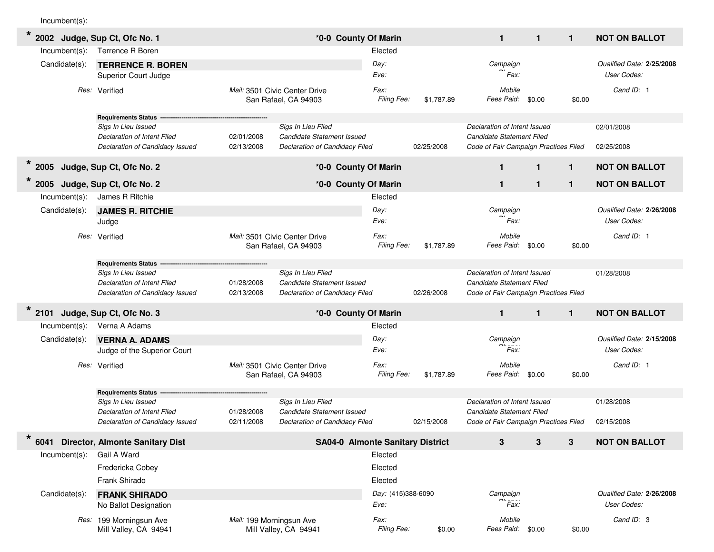Incumbent(s):

| $\star$                         | 2002 Judge, Sup Ct, Ofc No. 1                                                                                       |                          | *0-0 County Of Marin                                                               |                            |            | $\mathbf{1}$                                                                                       | $\mathbf{1}$ | $\mathbf{1}$ | <b>NOT ON BALLOT</b>                     |
|---------------------------------|---------------------------------------------------------------------------------------------------------------------|--------------------------|------------------------------------------------------------------------------------|----------------------------|------------|----------------------------------------------------------------------------------------------------|--------------|--------------|------------------------------------------|
| $Incumbent(s)$ :                | <b>Terrence R Boren</b>                                                                                             |                          |                                                                                    | Elected                    |            |                                                                                                    |              |              |                                          |
| Candidate(s):                   | <b>TERRENCE R. BOREN</b><br><b>Superior Court Judge</b>                                                             |                          |                                                                                    | Day:<br>Eve:               |            | Campaign<br>Fax:                                                                                   |              |              | Qualified Date: 2/25/2008<br>User Codes: |
|                                 | Res: Verified                                                                                                       |                          | Mail: 3501 Civic Center Drive<br>San Rafael, CA 94903                              | Fax:<br>Filing Fee:        | \$1,787.89 | Mobile<br>Fees Paid:                                                                               | \$0.00       | \$0.00       | Cand ID: 1                               |
|                                 | <b>Requirements Status</b><br>Sigs In Lieu Issued<br>Declaration of Intent Filed<br>Declaration of Candidacy Issued | 02/01/2008<br>02/13/2008 | Sigs In Lieu Filed<br>Candidate Statement Issued<br>Declaration of Candidacy Filed |                            | 02/25/2008 | Declaration of Intent Issued<br>Candidate Statement Filed<br>Code of Fair Campaign Practices Filed |              |              | 02/01/2008<br>02/25/2008                 |
| * 2005 Judge, Sup Ct, Ofc No. 2 |                                                                                                                     |                          | *0-0 County Of Marin                                                               |                            |            | 1                                                                                                  | $\mathbf{1}$ | $\mathbf{1}$ | <b>NOT ON BALLOT</b>                     |
| 2005                            | Judge, Sup Ct, Ofc No. 2                                                                                            |                          | *0-0 County Of Marin                                                               |                            |            | $\mathbf{1}$                                                                                       | $\mathbf{1}$ | 1            | <b>NOT ON BALLOT</b>                     |
| $Incumbent(s)$ :                | James R Ritchie                                                                                                     |                          |                                                                                    | Elected                    |            |                                                                                                    |              |              |                                          |
| Candidate(s):                   | <b>JAMES R. RITCHIE</b><br>Judge                                                                                    |                          |                                                                                    | Day:<br>Eve:               |            | Campaign<br>Fax:                                                                                   |              |              | Qualified Date: 2/26/2008<br>User Codes: |
| Res:                            | Verified                                                                                                            |                          | Mail: 3501 Civic Center Drive<br>San Rafael, CA 94903                              | Fax:<br>Filing Fee:        | \$1,787.89 | Mobile<br>Fees Paid:                                                                               | \$0.00       | \$0.00       | Cand ID: 1                               |
|                                 | <b>Requirements Status</b>                                                                                          |                          |                                                                                    |                            |            |                                                                                                    |              |              |                                          |
|                                 | Sigs In Lieu Issued<br>Declaration of Intent Filed<br>Declaration of Candidacy Issued                               | 01/28/2008<br>02/13/2008 | Sigs In Lieu Filed<br>Candidate Statement Issued<br>Declaration of Candidacy Filed |                            | 02/26/2008 | Declaration of Intent Issued<br>Candidate Statement Filed<br>Code of Fair Campaign Practices Filed |              |              | 01/28/2008                               |
| 2101                            | Judge, Sup Ct, Ofc No. 3                                                                                            |                          | *0-0 County Of Marin                                                               |                            |            | $\mathbf{1}$                                                                                       | $\mathbf{1}$ | $\mathbf{1}$ | <b>NOT ON BALLOT</b>                     |
| Incumbent(s):                   | Verna A Adams                                                                                                       |                          |                                                                                    | Elected                    |            |                                                                                                    |              |              |                                          |
| Candidate(s):                   | <b>VERNA A. ADAMS</b><br>Judge of the Superior Court                                                                |                          |                                                                                    | Day:<br>Eve:               |            | Campaign<br>Fax:                                                                                   |              |              | Qualified Date: 2/15/2008<br>User Codes: |
|                                 | Res: Verified                                                                                                       |                          | Mail: 3501 Civic Center Drive<br>San Rafael, CA 94903                              | Fax:<br>Filing Fee:        | \$1,787.89 | Mobile<br>Fees Paid:                                                                               | \$0.00       | \$0.00       | Cand ID: 1                               |
|                                 | <b>Requirements Status</b>                                                                                          |                          |                                                                                    |                            |            |                                                                                                    |              |              |                                          |
|                                 | Sigs In Lieu Issued<br>Declaration of Intent Filed                                                                  | 01/28/2008               | Sigs In Lieu Filed<br>Candidate Statement Issued                                   |                            |            | Declaration of Intent Issued<br>Candidate Statement Filed                                          |              |              | 01/28/2008                               |
|                                 | Declaration of Candidacy Issued                                                                                     | 02/11/2008               | Declaration of Candidacy Filed                                                     |                            | 02/15/2008 | Code of Fair Campaign Practices Filed                                                              |              |              | 02/15/2008                               |
| $\star$                         | 6041 Director, Almonte Sanitary Dist                                                                                |                          | <b>SA04-0 Almonte Sanitary District</b>                                            |                            |            | 3                                                                                                  | 3            | 3            | <b>NOT ON BALLOT</b>                     |
| $Incumbent(s)$ :                | Gail A Ward                                                                                                         |                          |                                                                                    | Elected                    |            |                                                                                                    |              |              |                                          |
|                                 | Fredericka Cobey                                                                                                    |                          |                                                                                    | Elected                    |            |                                                                                                    |              |              |                                          |
|                                 | Frank Shirado                                                                                                       |                          |                                                                                    | Elected                    |            |                                                                                                    |              |              |                                          |
| Candidate(s):                   | <b>FRANK SHIRADO</b><br>No Ballot Designation                                                                       |                          |                                                                                    | Day: (415)388-6090<br>Eve: |            | Campaign<br>Fax:                                                                                   |              |              | Qualified Date: 2/26/2008<br>User Codes: |
|                                 | Res: 199 Morningsun Ave<br>Mill Valley, CA 94941                                                                    | Mail: 199 Morningsun Ave | Mill Valley, CA 94941                                                              | Fax:<br>Filing Fee:        | \$0.00     | Mobile<br>Fees Paid: \$0.00                                                                        |              | \$0.00       | Cand ID: 3                               |